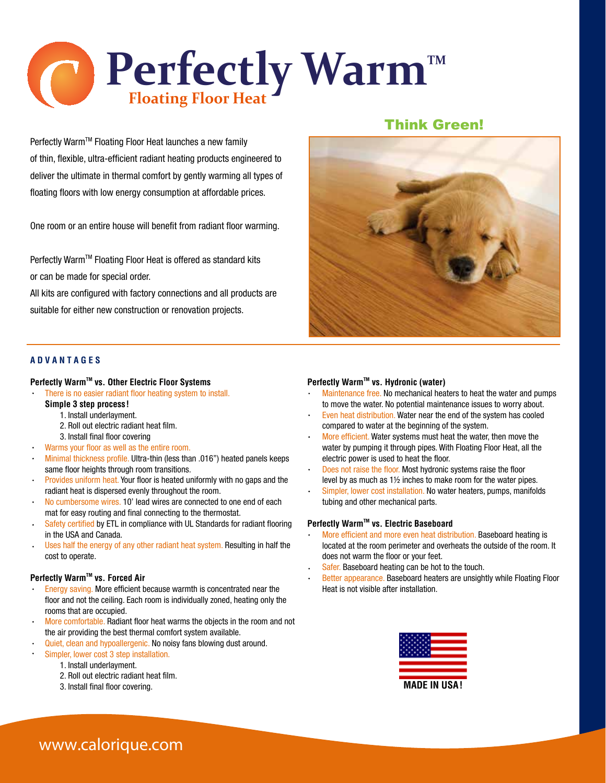

Perfectly Warm™ Floating Floor Heat launches a new family of thin, flexible, ultra-efficient radiant heating products engineered to deliver the ultimate in thermal comfort by gently warming all types of floating floors with low energy consumption at affordable prices.

One room or an entire house will benefit from radiant floor warming.

Perfectly Warm™ Floating Floor Heat is offered as standard kits or can be made for special order.

All kits are configured with factory connections and all products are suitable for either new construction or renovation projects.

#### **A D V A N T A G E S**

#### **Perfectly Warm™ vs. Other Electric Floor Systems**

- There is no easier radiant floor heating system to install.
	- **Simple 3 step process!**
		- 1. Install underlayment.
		- 2. Roll out electric radiant heat film.
		- 3. Install final floor covering
- Warms your floor as well as the entire room.
- Minimal thickness profile. Ultra-thin (less than .016") heated panels keeps same floor heights through room transitions.
- $\ddot{\phantom{0}}$ Provides uniform heat. Your floor is heated uniformly with no gaps and the radiant heat is dispersed evenly throughout the room.
- No cumbersome wires. 10' lead wires are connected to one end of each mat for easy routing and final connecting to the thermostat.
- Safety certified by ETL in compliance with UL Standards for radiant flooring  $\ddot{\phantom{0}}$ in the USA and Canada.
- Uses half the energy of any other radiant heat system. Resulting in half the cost to operate.

#### **Perfectly Warm™ vs. Forced Air**

- Energy saving. More efficient because warmth is concentrated near the floor and not the ceiling. Each room is individually zoned, heating only the rooms that are occupied.
- More comfortable. Radiant floor heat warms the objects in the room and not the air providing the best thermal comfort system available.
- Quiet, clean and hypoallergenic. No noisy fans blowing dust around.
	- Simpler, lower cost 3 step installation.
		- 1. Install underlayment.
		- 2. Roll out electric radiant heat film.
		- 3. Install final floor covering.

## Think Green!



#### **Perfectly Warm™ vs. Hydronic (water)**

- Maintenance free. No mechanical heaters to heat the water and pumps to move the water. No potential maintenance issues to worry about.
- Even heat distribution. Water near the end of the system has cooled compared to water at the beginning of the system.
- More efficient. Water systems must heat the water, then move the water by pumping it through pipes. With Floating Floor Heat, all the electric power is used to heat the floor.
- Does not raise the floor. Most hydronic systems raise the floor level by as much as 1½ inches to make room for the water pipes.
- Simpler, lower cost installation. No water heaters, pumps, manifolds tubing and other mechanical parts.

#### **Perfectly Warm™ vs. Electric Baseboard**

- More efficient and more even heat distribution. Baseboard heating is located at the room perimeter and overheats the outside of the room. It does not warm the floor or your feet.
- Safer. Baseboard heating can be hot to the touch.
- Better appearance. Baseboard heaters are unsightly while Floating Floor Heat is not visible after installation.



# **www.calorique.com**